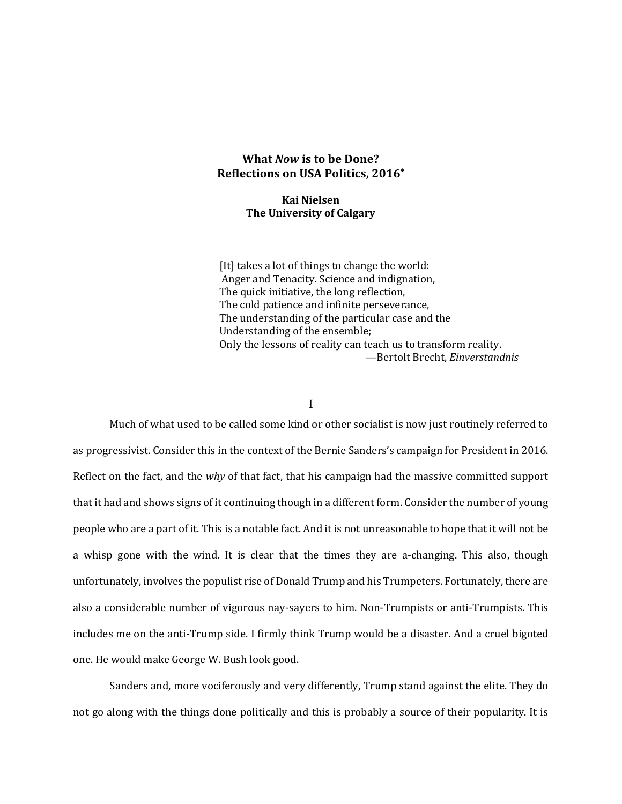## **What** *Now* **is to be Done? Reflections on USA Politics, 2016\***

## **Kai Nielsen The University of Calgary**

[It] takes a lot of things to change the world: Anger and Tenacity. Science and indignation, The quick initiative, the long reflection, The cold patience and infinite perseverance, The understanding of the particular case and the Understanding of the ensemble; Only the lessons of reality can teach us to transform reality. —Bertolt Brecht, *Einverstandnis*

## I

Much of what used to be called some kind or other socialist is now just routinely referred to as progressivist. Consider this in the context of the Bernie Sanders's campaign for President in 2016. Reflect on the fact, and the *why* of that fact, that his campaign had the massive committed support that it had and shows signs of it continuing though in a different form. Consider the number of young people who are a part of it. This is a notable fact. And it is not unreasonable to hope that it will not be a whisp gone with the wind. It is clear that the times they are a-changing. This also, though unfortunately, involves the populist rise of Donald Trump and his Trumpeters. Fortunately, there are also a considerable number of vigorous nay-sayers to him. Non-Trumpists or anti-Trumpists. This includes me on the anti-Trump side. I firmly think Trump would be a disaster. And a cruel bigoted one. He would make George W. Bush look good.

Sanders and, more vociferously and very differently, Trump stand against the elite. They do not go along with the things done politically and this is probably a source of their popularity. It is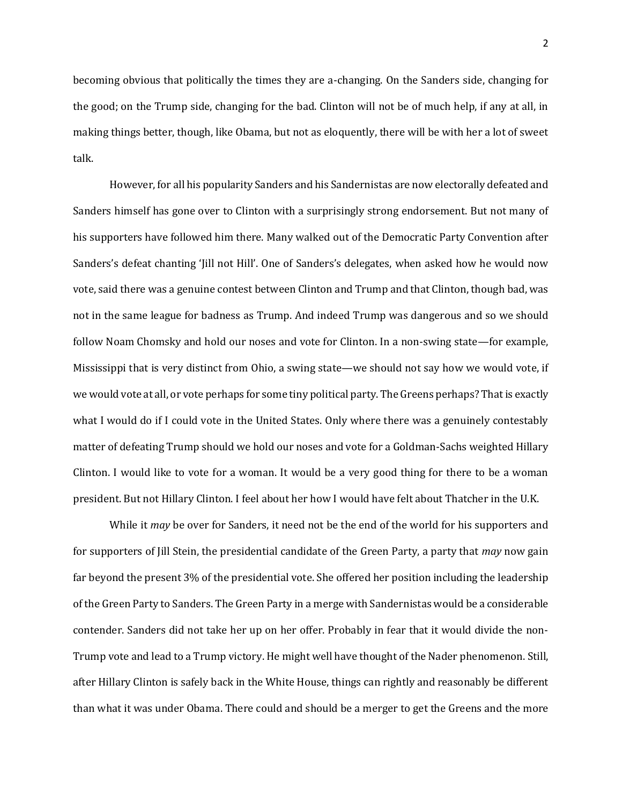becoming obvious that politically the times they are a-changing. On the Sanders side, changing for the good; on the Trump side, changing for the bad. Clinton will not be of much help, if any at all, in making things better, though, like Obama, but not as eloquently, there will be with her a lot of sweet talk.

However, for all his popularity Sanders and his Sandernistas are now electorally defeated and Sanders himself has gone over to Clinton with a surprisingly strong endorsement. But not many of his supporters have followed him there. Many walked out of the Democratic Party Convention after Sanders's defeat chanting 'Jill not Hill'. One of Sanders's delegates, when asked how he would now vote, said there was a genuine contest between Clinton and Trump and that Clinton, though bad, was not in the same league for badness as Trump. And indeed Trump was dangerous and so we should follow Noam Chomsky and hold our noses and vote for Clinton. In a non-swing state—for example, Mississippi that is very distinct from Ohio, a swing state—we should not say how we would vote, if we would vote at all, or vote perhaps for some tiny political party. The Greens perhaps? That is exactly what I would do if I could vote in the United States. Only where there was a genuinely contestably matter of defeating Trump should we hold our noses and vote for a Goldman-Sachs weighted Hillary Clinton. I would like to vote for a woman. It would be a very good thing for there to be a woman president. But not Hillary Clinton. I feel about her how I would have felt about Thatcher in the U.K.

While it *may* be over for Sanders, it need not be the end of the world for his supporters and for supporters of Jill Stein, the presidential candidate of the Green Party, a party that *may* now gain far beyond the present 3% of the presidential vote. She offered her position including the leadership of the Green Party to Sanders. The Green Party in a merge with Sandernistas would be a considerable contender. Sanders did not take her up on her offer. Probably in fear that it would divide the non-Trump vote and lead to a Trump victory. He might well have thought of the Nader phenomenon. Still, after Hillary Clinton is safely back in the White House, things can rightly and reasonably be different than what it was under Obama. There could and should be a merger to get the Greens and the more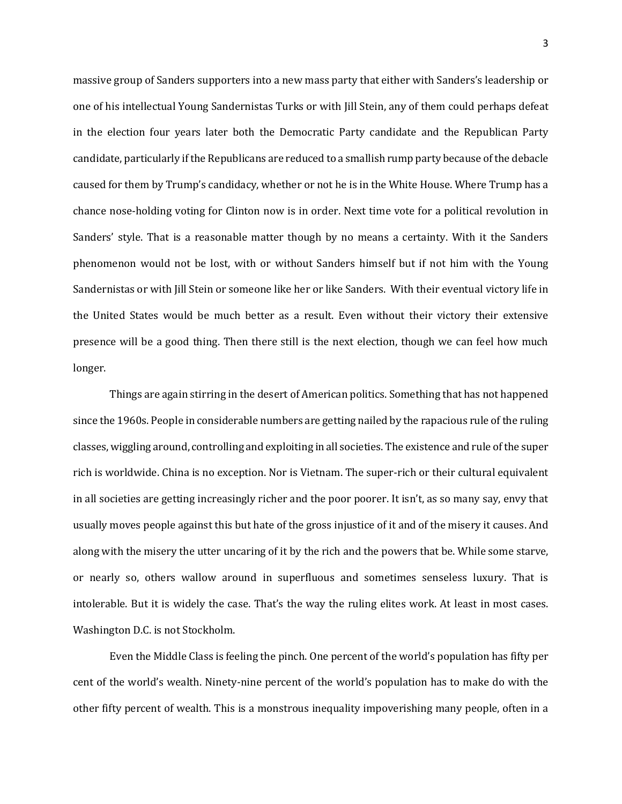massive group of Sanders supporters into a new mass party that either with Sanders's leadership or one of his intellectual Young Sandernistas Turks or with Jill Stein, any of them could perhaps defeat in the election four years later both the Democratic Party candidate and the Republican Party candidate, particularly if the Republicans are reduced to a smallish rump party because of the debacle caused for them by Trump's candidacy, whether or not he is in the White House. Where Trump has a chance nose-holding voting for Clinton now is in order. Next time vote for a political revolution in Sanders' style. That is a reasonable matter though by no means a certainty. With it the Sanders phenomenon would not be lost, with or without Sanders himself but if not him with the Young Sandernistas or with Jill Stein or someone like her or like Sanders. With their eventual victory life in the United States would be much better as a result. Even without their victory their extensive presence will be a good thing. Then there still is the next election, though we can feel how much longer.

Things are again stirring in the desert of American politics. Something that has not happened since the 1960s. People in considerable numbers are getting nailed by the rapacious rule of the ruling classes, wiggling around, controlling and exploiting in all societies. The existence and rule of the super rich is worldwide. China is no exception. Nor is Vietnam. The super-rich or their cultural equivalent in all societies are getting increasingly richer and the poor poorer. It isn't, as so many say, envy that usually moves people against this but hate of the gross injustice of it and of the misery it causes. And along with the misery the utter uncaring of it by the rich and the powers that be. While some starve, or nearly so, others wallow around in superfluous and sometimes senseless luxury. That is intolerable. But it is widely the case. That's the way the ruling elites work. At least in most cases. Washington D.C. is not Stockholm.

Even the Middle Class is feeling the pinch. One percent of the world's population has fifty per cent of the world's wealth. Ninety-nine percent of the world's population has to make do with the other fifty percent of wealth. This is a monstrous inequality impoverishing many people, often in a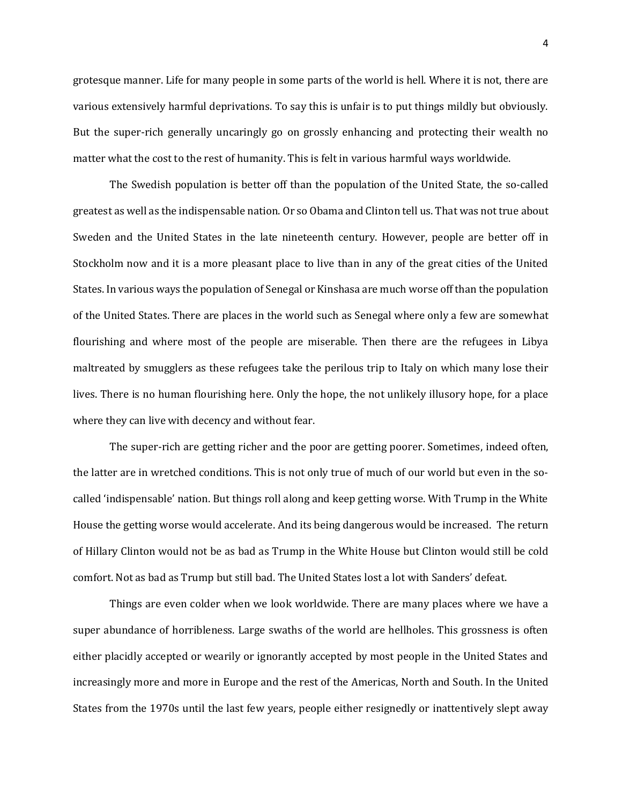grotesque manner. Life for many people in some parts of the world is hell. Where it is not, there are various extensively harmful deprivations. To say this is unfair is to put things mildly but obviously. But the super-rich generally uncaringly go on grossly enhancing and protecting their wealth no matter what the cost to the rest of humanity. This is felt in various harmful ways worldwide.

The Swedish population is better off than the population of the United State, the so-called greatest as well as the indispensable nation. Or so Obama and Clinton tell us. That was not true about Sweden and the United States in the late nineteenth century. However, people are better off in Stockholm now and it is a more pleasant place to live than in any of the great cities of the United States. In various ways the population of Senegal or Kinshasa are much worse off than the population of the United States. There are places in the world such as Senegal where only a few are somewhat flourishing and where most of the people are miserable. Then there are the refugees in Libya maltreated by smugglers as these refugees take the perilous trip to Italy on which many lose their lives. There is no human flourishing here. Only the hope, the not unlikely illusory hope, for a place where they can live with decency and without fear.

The super-rich are getting richer and the poor are getting poorer. Sometimes, indeed often, the latter are in wretched conditions. This is not only true of much of our world but even in the socalled 'indispensable' nation. But things roll along and keep getting worse. With Trump in the White House the getting worse would accelerate. And its being dangerous would be increased. The return of Hillary Clinton would not be as bad as Trump in the White House but Clinton would still be cold comfort. Not as bad as Trump but still bad. The United States lost a lot with Sanders' defeat.

Things are even colder when we look worldwide. There are many places where we have a super abundance of horribleness. Large swaths of the world are hellholes. This grossness is often either placidly accepted or wearily or ignorantly accepted by most people in the United States and increasingly more and more in Europe and the rest of the Americas, North and South. In the United States from the 1970s until the last few years, people either resignedly or inattentively slept away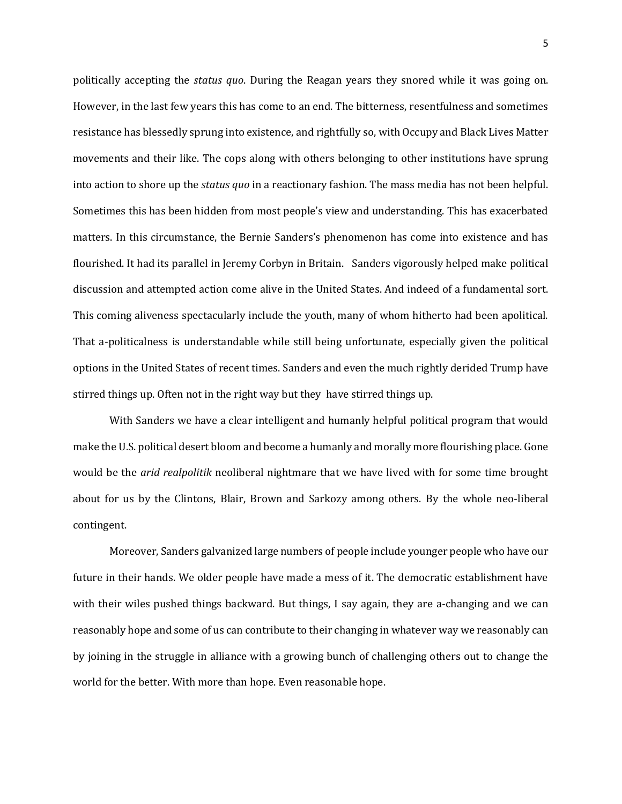politically accepting the *status quo*. During the Reagan years they snored while it was going on. However, in the last few years this has come to an end. The bitterness, resentfulness and sometimes resistance has blessedly sprung into existence, and rightfully so, with Occupy and Black Lives Matter movements and their like. The cops along with others belonging to other institutions have sprung into action to shore up the *status quo* in a reactionary fashion. The mass media has not been helpful. Sometimes this has been hidden from most people's view and understanding. This has exacerbated matters. In this circumstance, the Bernie Sanders's phenomenon has come into existence and has flourished. It had its parallel in Jeremy Corbyn in Britain. Sanders vigorously helped make political discussion and attempted action come alive in the United States. And indeed of a fundamental sort. This coming aliveness spectacularly include the youth, many of whom hitherto had been apolitical. That a-politicalness is understandable while still being unfortunate, especially given the political options in the United States of recent times. Sanders and even the much rightly derided Trump have stirred things up. Often not in the right way but they have stirred things up.

With Sanders we have a clear intelligent and humanly helpful political program that would make the U.S. political desert bloom and become a humanly and morally more flourishing place. Gone would be the *arid realpolitik* neoliberal nightmare that we have lived with for some time brought about for us by the Clintons, Blair, Brown and Sarkozy among others. By the whole neo-liberal contingent.

Moreover, Sanders galvanized large numbers of people include younger people who have our future in their hands. We older people have made a mess of it. The democratic establishment have with their wiles pushed things backward. But things, I say again, they are a-changing and we can reasonably hope and some of us can contribute to their changing in whatever way we reasonably can by joining in the struggle in alliance with a growing bunch of challenging others out to change the world for the better. With more than hope. Even reasonable hope.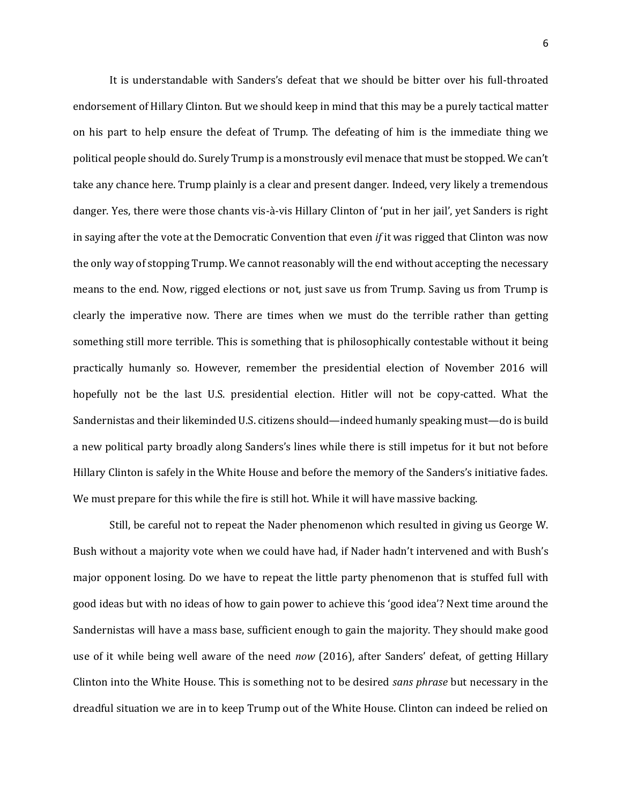It is understandable with Sanders's defeat that we should be bitter over his full-throated endorsement of Hillary Clinton. But we should keep in mind that this may be a purely tactical matter on his part to help ensure the defeat of Trump. The defeating of him is the immediate thing we political people should do. Surely Trump is a monstrously evil menace that must be stopped. We can't take any chance here. Trump plainly is a clear and present danger. Indeed, very likely a tremendous danger. Yes, there were those chants vis-à-vis Hillary Clinton of 'put in her jail', yet Sanders is right in saying after the vote at the Democratic Convention that even *if* it was rigged that Clinton was now the only way of stopping Trump. We cannot reasonably will the end without accepting the necessary means to the end. Now, rigged elections or not, just save us from Trump. Saving us from Trump is clearly the imperative now. There are times when we must do the terrible rather than getting something still more terrible. This is something that is philosophically contestable without it being practically humanly so. However, remember the presidential election of November 2016 will hopefully not be the last U.S. presidential election. Hitler will not be copy-catted. What the Sandernistas and their likeminded U.S. citizens should—indeed humanly speaking must—do is build a new political party broadly along Sanders's lines while there is still impetus for it but not before Hillary Clinton is safely in the White House and before the memory of the Sanders's initiative fades. We must prepare for this while the fire is still hot. While it will have massive backing.

Still, be careful not to repeat the Nader phenomenon which resulted in giving us George W. Bush without a majority vote when we could have had, if Nader hadn't intervened and with Bush's major opponent losing. Do we have to repeat the little party phenomenon that is stuffed full with good ideas but with no ideas of how to gain power to achieve this 'good idea'? Next time around the Sandernistas will have a mass base, sufficient enough to gain the majority. They should make good use of it while being well aware of the need *now* (2016), after Sanders' defeat, of getting Hillary Clinton into the White House. This is something not to be desired *sans phrase* but necessary in the dreadful situation we are in to keep Trump out of the White House. Clinton can indeed be relied on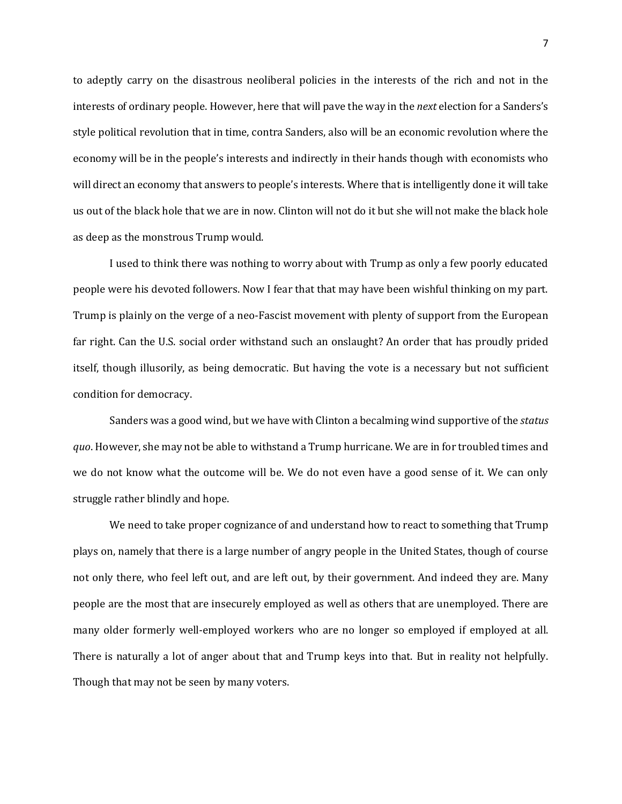to adeptly carry on the disastrous neoliberal policies in the interests of the rich and not in the interests of ordinary people. However, here that will pave the way in the *next* election for a Sanders's style political revolution that in time, contra Sanders, also will be an economic revolution where the economy will be in the people's interests and indirectly in their hands though with economists who will direct an economy that answers to people's interests. Where that is intelligently done it will take us out of the black hole that we are in now. Clinton will not do it but she will not make the black hole as deep as the monstrous Trump would.

I used to think there was nothing to worry about with Trump as only a few poorly educated people were his devoted followers. Now I fear that that may have been wishful thinking on my part. Trump is plainly on the verge of a neo-Fascist movement with plenty of support from the European far right. Can the U.S. social order withstand such an onslaught? An order that has proudly prided itself, though illusorily, as being democratic. But having the vote is a necessary but not sufficient condition for democracy.

Sanders was a good wind, but we have with Clinton a becalming wind supportive of the *status quo*. However, she may not be able to withstand a Trump hurricane. We are in for troubled times and we do not know what the outcome will be. We do not even have a good sense of it. We can only struggle rather blindly and hope.

We need to take proper cognizance of and understand how to react to something that Trump plays on, namely that there is a large number of angry people in the United States, though of course not only there, who feel left out, and are left out, by their government. And indeed they are. Many people are the most that are insecurely employed as well as others that are unemployed. There are many older formerly well-employed workers who are no longer so employed if employed at all. There is naturally a lot of anger about that and Trump keys into that. But in reality not helpfully. Though that may not be seen by many voters.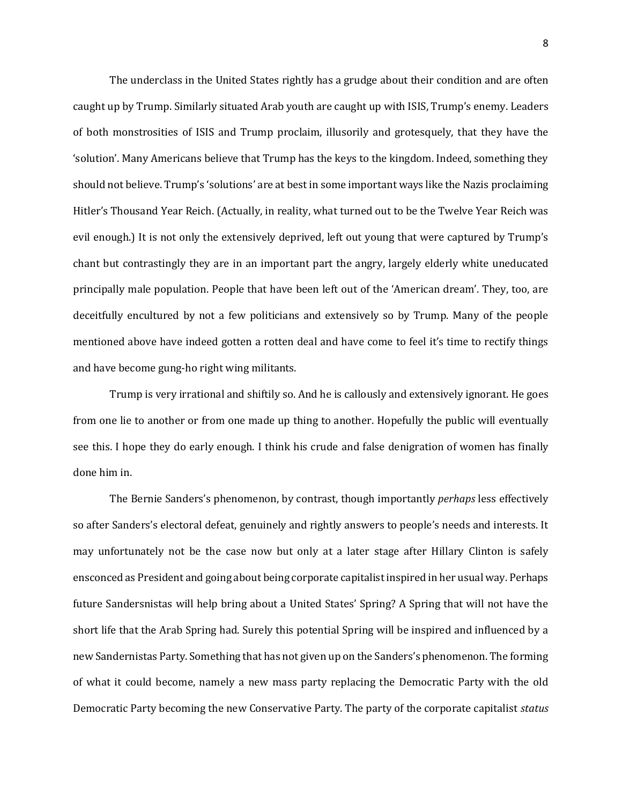The underclass in the United States rightly has a grudge about their condition and are often caught up by Trump. Similarly situated Arab youth are caught up with ISIS, Trump's enemy. Leaders of both monstrosities of ISIS and Trump proclaim, illusorily and grotesquely, that they have the 'solution'. Many Americans believe that Trump has the keys to the kingdom. Indeed, something they should not believe. Trump's 'solutions' are at best in some important ways like the Nazis proclaiming Hitler's Thousand Year Reich. (Actually, in reality, what turned out to be the Twelve Year Reich was evil enough.) It is not only the extensively deprived, left out young that were captured by Trump's chant but contrastingly they are in an important part the angry, largely elderly white uneducated principally male population. People that have been left out of the 'American dream'. They, too, are deceitfully encultured by not a few politicians and extensively so by Trump. Many of the people mentioned above have indeed gotten a rotten deal and have come to feel it's time to rectify things and have become gung-ho right wing militants.

Trump is very irrational and shiftily so. And he is callously and extensively ignorant. He goes from one lie to another or from one made up thing to another. Hopefully the public will eventually see this. I hope they do early enough. I think his crude and false denigration of women has finally done him in.

The Bernie Sanders's phenomenon, by contrast, though importantly *perhaps* less effectively so after Sanders's electoral defeat, genuinely and rightly answers to people's needs and interests. It may unfortunately not be the case now but only at a later stage after Hillary Clinton is safely ensconced as President and going about being corporate capitalist inspired in her usual way. Perhaps future Sandersnistas will help bring about a United States' Spring? A Spring that will not have the short life that the Arab Spring had. Surely this potential Spring will be inspired and influenced by a new Sandernistas Party. Something that has not given up on the Sanders's phenomenon. The forming of what it could become, namely a new mass party replacing the Democratic Party with the old Democratic Party becoming the new Conservative Party. The party of the corporate capitalist *status*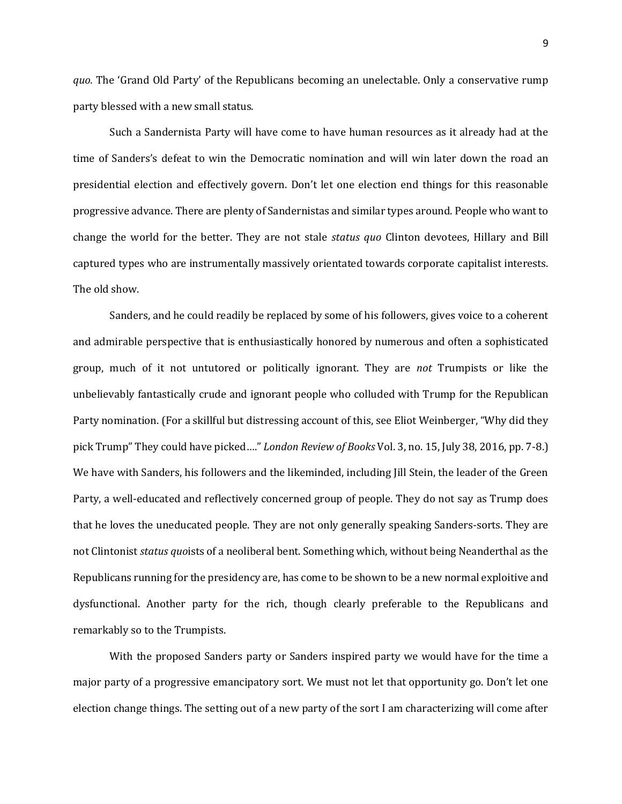*quo.* The 'Grand Old Party' of the Republicans becoming an unelectable. Only a conservative rump party blessed with a new small status.

Such a Sandernista Party will have come to have human resources as it already had at the time of Sanders's defeat to win the Democratic nomination and will win later down the road an presidential election and effectively govern. Don't let one election end things for this reasonable progressive advance. There are plenty of Sandernistas and similar types around. People who want to change the world for the better. They are not stale *status quo* Clinton devotees, Hillary and Bill captured types who are instrumentally massively orientated towards corporate capitalist interests. The old show.

Sanders, and he could readily be replaced by some of his followers, gives voice to a coherent and admirable perspective that is enthusiastically honored by numerous and often a sophisticated group, much of it not untutored or politically ignorant. They are *not* Trumpists or like the unbelievably fantastically crude and ignorant people who colluded with Trump for the Republican Party nomination. (For a skillful but distressing account of this, see Eliot Weinberger, "Why did they pick Trump" They could have picked…." *London Review of Books* Vol. 3, no. 15, July 38, 2016, pp. 7-8.) We have with Sanders, his followers and the likeminded, including Jill Stein, the leader of the Green Party, a well-educated and reflectively concerned group of people. They do not say as Trump does that he loves the uneducated people. They are not only generally speaking Sanders-sorts. They are not Clintonist *status quo*ists of a neoliberal bent. Something which, without being Neanderthal as the Republicans running for the presidency are, has come to be shown to be a new normal exploitive and dysfunctional. Another party for the rich, though clearly preferable to the Republicans and remarkably so to the Trumpists.

With the proposed Sanders party or Sanders inspired party we would have for the time a major party of a progressive emancipatory sort. We must not let that opportunity go. Don't let one election change things. The setting out of a new party of the sort I am characterizing will come after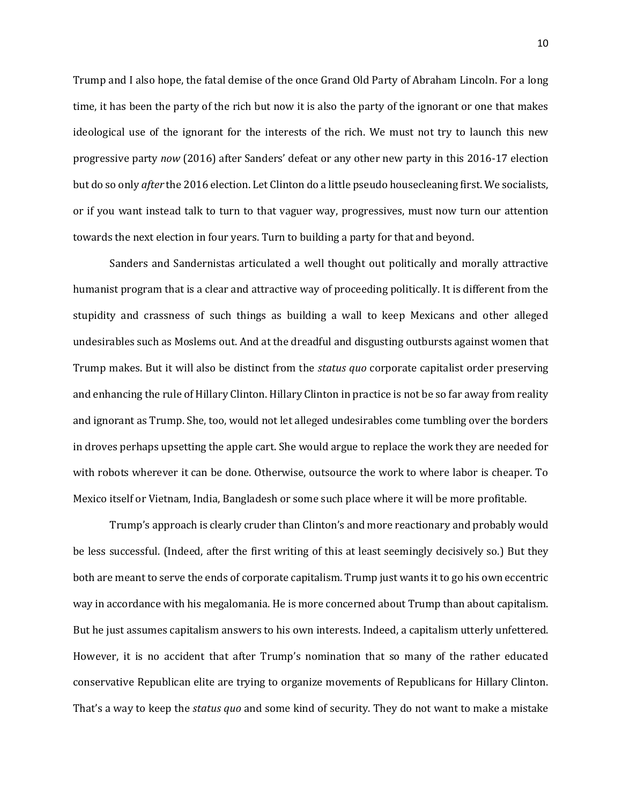Trump and I also hope, the fatal demise of the once Grand Old Party of Abraham Lincoln. For a long time, it has been the party of the rich but now it is also the party of the ignorant or one that makes ideological use of the ignorant for the interests of the rich. We must not try to launch this new progressive party *now* (2016) after Sanders' defeat or any other new party in this 2016-17 election but do so only *after* the 2016 election. Let Clinton do a little pseudo housecleaning first. We socialists, or if you want instead talk to turn to that vaguer way, progressives, must now turn our attention towards the next election in four years. Turn to building a party for that and beyond.

Sanders and Sandernistas articulated a well thought out politically and morally attractive humanist program that is a clear and attractive way of proceeding politically. It is different from the stupidity and crassness of such things as building a wall to keep Mexicans and other alleged undesirables such as Moslems out. And at the dreadful and disgusting outbursts against women that Trump makes. But it will also be distinct from the *status quo* corporate capitalist order preserving and enhancing the rule of Hillary Clinton. Hillary Clinton in practice is not be so far away from reality and ignorant as Trump. She, too, would not let alleged undesirables come tumbling over the borders in droves perhaps upsetting the apple cart. She would argue to replace the work they are needed for with robots wherever it can be done. Otherwise, outsource the work to where labor is cheaper. To Mexico itself or Vietnam, India, Bangladesh or some such place where it will be more profitable.

Trump's approach is clearly cruder than Clinton's and more reactionary and probably would be less successful. (Indeed, after the first writing of this at least seemingly decisively so.) But they both are meant to serve the ends of corporate capitalism. Trump just wants it to go his own eccentric way in accordance with his megalomania. He is more concerned about Trump than about capitalism. But he just assumes capitalism answers to his own interests. Indeed, a capitalism utterly unfettered. However, it is no accident that after Trump's nomination that so many of the rather educated conservative Republican elite are trying to organize movements of Republicans for Hillary Clinton. That's a way to keep the *status quo* and some kind of security. They do not want to make a mistake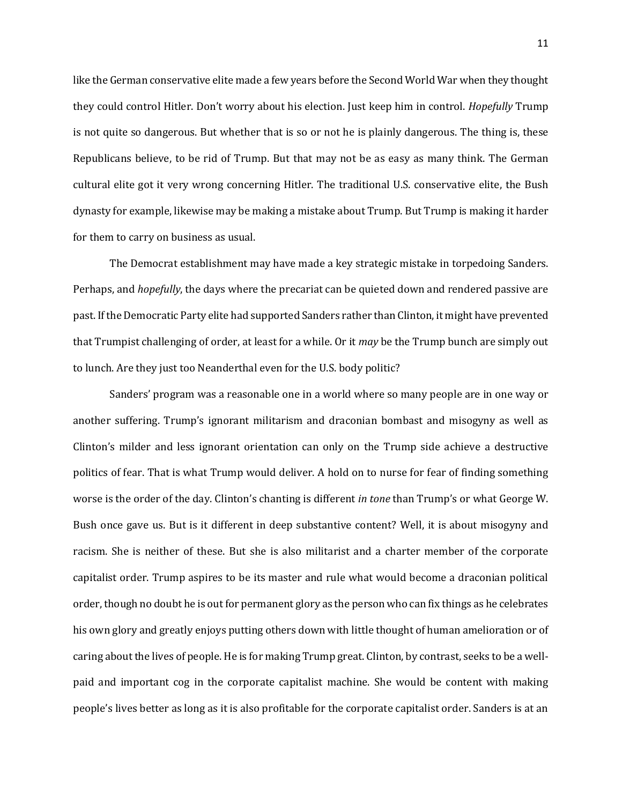like the German conservative elite made a few years before the Second World War when they thought they could control Hitler. Don't worry about his election. Just keep him in control. *Hopefully* Trump is not quite so dangerous. But whether that is so or not he is plainly dangerous. The thing is, these Republicans believe, to be rid of Trump. But that may not be as easy as many think. The German cultural elite got it very wrong concerning Hitler. The traditional U.S. conservative elite, the Bush dynasty for example, likewise may be making a mistake about Trump. But Trump is making it harder for them to carry on business as usual.

The Democrat establishment may have made a key strategic mistake in torpedoing Sanders. Perhaps, and *hopefully*, the days where the precariat can be quieted down and rendered passive are past. If the Democratic Party elite had supported Sanders rather than Clinton, it might have prevented that Trumpist challenging of order, at least for a while. Or it *may* be the Trump bunch are simply out to lunch. Are they just too Neanderthal even for the U.S. body politic?

Sanders' program was a reasonable one in a world where so many people are in one way or another suffering. Trump's ignorant militarism and draconian bombast and misogyny as well as Clinton's milder and less ignorant orientation can only on the Trump side achieve a destructive politics of fear. That is what Trump would deliver. A hold on to nurse for fear of finding something worse is the order of the day. Clinton's chanting is different *in tone* than Trump's or what George W. Bush once gave us. But is it different in deep substantive content? Well, it is about misogyny and racism. She is neither of these. But she is also militarist and a charter member of the corporate capitalist order. Trump aspires to be its master and rule what would become a draconian political order, though no doubt he is out for permanent glory as the person who can fix things as he celebrates his own glory and greatly enjoys putting others down with little thought of human amelioration or of caring about the lives of people. He is for making Trump great. Clinton, by contrast, seeks to be a wellpaid and important cog in the corporate capitalist machine. She would be content with making people's lives better as long as it is also profitable for the corporate capitalist order. Sanders is at an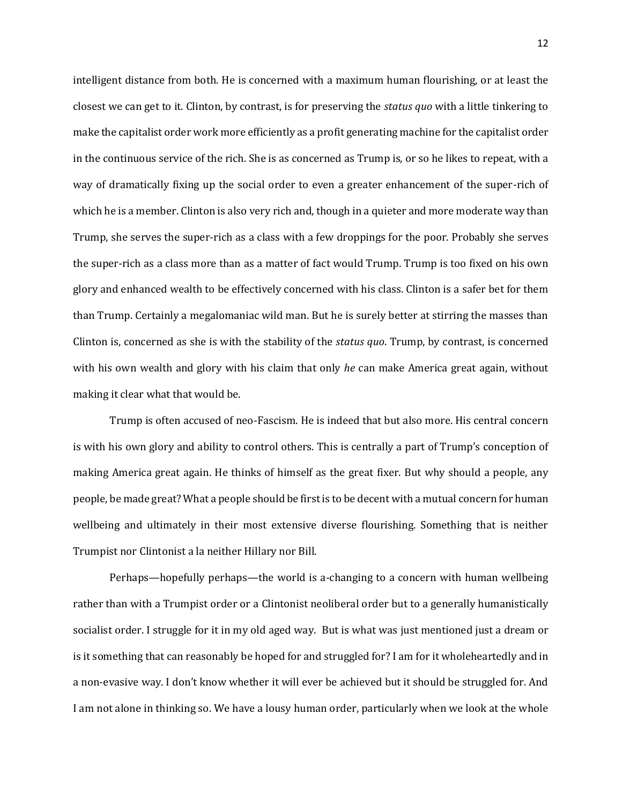intelligent distance from both. He is concerned with a maximum human flourishing, or at least the closest we can get to it. Clinton, by contrast, is for preserving the *status quo* with a little tinkering to make the capitalist order work more efficiently as a profit generating machine for the capitalist order in the continuous service of the rich. She is as concerned as Trump is, or so he likes to repeat, with a way of dramatically fixing up the social order to even a greater enhancement of the super-rich of which he is a member. Clinton is also very rich and, though in a quieter and more moderate way than Trump, she serves the super-rich as a class with a few droppings for the poor. Probably she serves the super-rich as a class more than as a matter of fact would Trump. Trump is too fixed on his own glory and enhanced wealth to be effectively concerned with his class. Clinton is a safer bet for them than Trump. Certainly a megalomaniac wild man. But he is surely better at stirring the masses than Clinton is, concerned as she is with the stability of the *status quo*. Trump, by contrast, is concerned with his own wealth and glory with his claim that only *he* can make America great again, without making it clear what that would be.

Trump is often accused of neo-Fascism. He is indeed that but also more. His central concern is with his own glory and ability to control others. This is centrally a part of Trump's conception of making America great again. He thinks of himself as the great fixer. But why should a people, any people, be made great? What a people should be first is to be decent with a mutual concern for human wellbeing and ultimately in their most extensive diverse flourishing. Something that is neither Trumpist nor Clintonist a la neither Hillary nor Bill.

Perhaps—hopefully perhaps—the world is a-changing to a concern with human wellbeing rather than with a Trumpist order or a Clintonist neoliberal order but to a generally humanistically socialist order. I struggle for it in my old aged way. But is what was just mentioned just a dream or is it something that can reasonably be hoped for and struggled for? I am for it wholeheartedly and in a non-evasive way. I don't know whether it will ever be achieved but it should be struggled for. And I am not alone in thinking so. We have a lousy human order, particularly when we look at the whole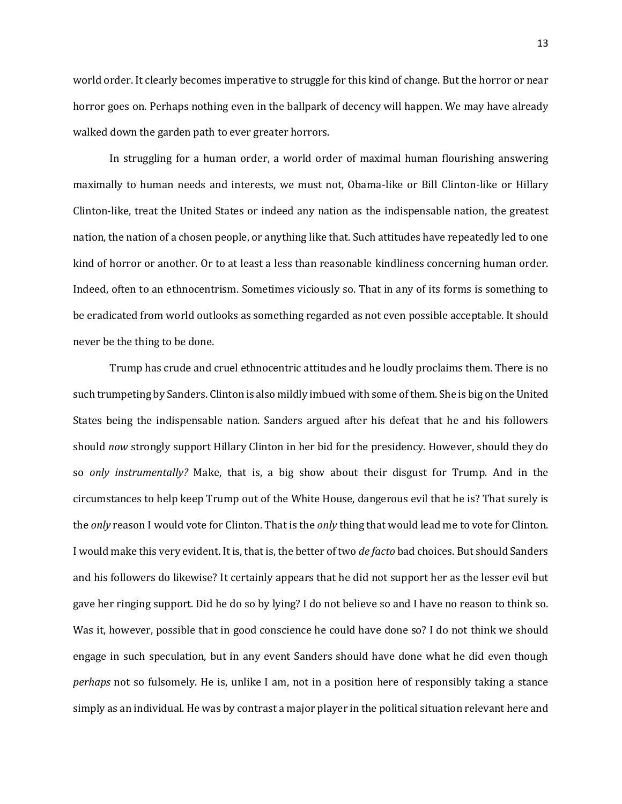world order. It clearly becomes imperative to struggle for this kind of change. But the horror or near horror goes on. Perhaps nothing even in the ballpark of decency will happen. We may have already walked down the garden path to ever greater horrors.

In struggling for a human order, a world order of maximal human flourishing answering maximally to human needs and interests, we must not, Obama-like or Bill Clinton-like or Hillary Clinton-like, treat the United States or indeed any nation as the indispensable nation, the greatest nation, the nation of a chosen people, or anything like that. Such attitudes have repeatedly led to one kind of horror or another. Or to at least a less than reasonable kindliness concerning human order. Indeed, often to an ethnocentrism. Sometimes viciously so. That in any of its forms is something to be eradicated from world outlooks as something regarded as not even possible acceptable. It should never be the thing to be done.

Trump has crude and cruel ethnocentric attitudes and he loudly proclaims them. There is no such trumpeting by Sanders. Clinton is also mildly imbued with some of them. She is big on the United States being the indispensable nation. Sanders argued after his defeat that he and his followers should *now* strongly support Hillary Clinton in her bid for the presidency. However, should they do so *only instrumentally?* Make, that is, a big show about their disgust for Trump. And in the circumstances to help keep Trump out of the White House, dangerous evil that he is? That surely is the *only* reason I would vote for Clinton. That is the *only* thing that would lead me to vote for Clinton. I would make this very evident. It is, that is, the better of two *de facto* bad choices. But should Sanders and his followers do likewise? It certainly appears that he did not support her as the lesser evil but gave her ringing support. Did he do so by lying? I do not believe so and I have no reason to think so. Was it, however, possible that in good conscience he could have done so? I do not think we should engage in such speculation, but in any event Sanders should have done what he did even though *perhaps* not so fulsomely. He is, unlike I am, not in a position here of responsibly taking a stance simply as an individual. He was by contrast a major player in the political situation relevant here and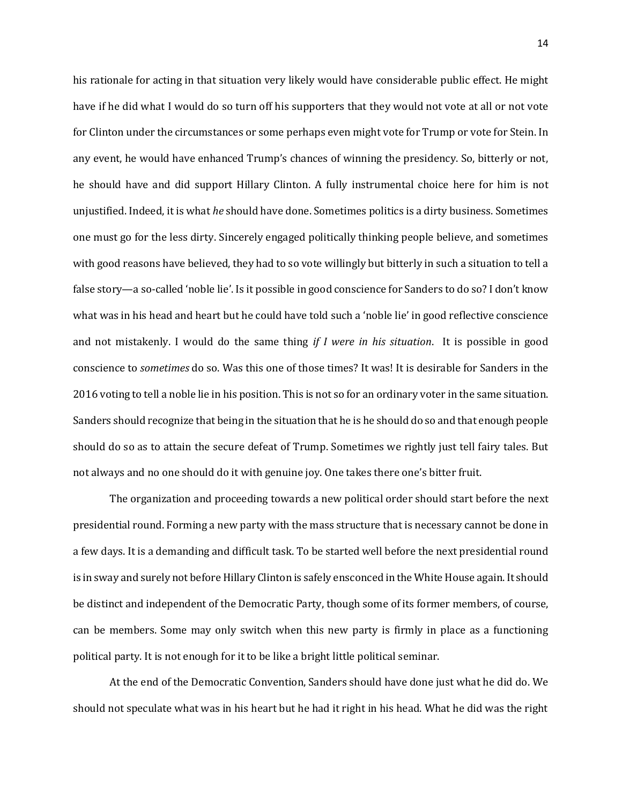his rationale for acting in that situation very likely would have considerable public effect. He might have if he did what I would do so turn off his supporters that they would not vote at all or not vote for Clinton under the circumstances or some perhaps even might vote for Trump or vote for Stein. In any event, he would have enhanced Trump's chances of winning the presidency. So, bitterly or not, he should have and did support Hillary Clinton. A fully instrumental choice here for him is not unjustified. Indeed, it is what *he* should have done. Sometimes politics is a dirty business. Sometimes one must go for the less dirty. Sincerely engaged politically thinking people believe, and sometimes with good reasons have believed, they had to so vote willingly but bitterly in such a situation to tell a false story—a so-called 'noble lie'. Is it possible in good conscience for Sanders to do so? I don't know what was in his head and heart but he could have told such a 'noble lie' in good reflective conscience and not mistakenly. I would do the same thing *if I were in his situation*. It is possible in good conscience to *sometimes* do so. Was this one of those times? It was! It is desirable for Sanders in the 2016 voting to tell a noble lie in his position. This is not so for an ordinary voter in the same situation. Sanders should recognize that being in the situation that he is he should do so and that enough people should do so as to attain the secure defeat of Trump. Sometimes we rightly just tell fairy tales. But not always and no one should do it with genuine joy. One takes there one's bitter fruit.

The organization and proceeding towards a new political order should start before the next presidential round. Forming a new party with the mass structure that is necessary cannot be done in a few days. It is a demanding and difficult task. To be started well before the next presidential round is in sway and surely not before Hillary Clinton is safely ensconced in the White House again. It should be distinct and independent of the Democratic Party, though some of its former members, of course, can be members. Some may only switch when this new party is firmly in place as a functioning political party. It is not enough for it to be like a bright little political seminar.

At the end of the Democratic Convention, Sanders should have done just what he did do. We should not speculate what was in his heart but he had it right in his head. What he did was the right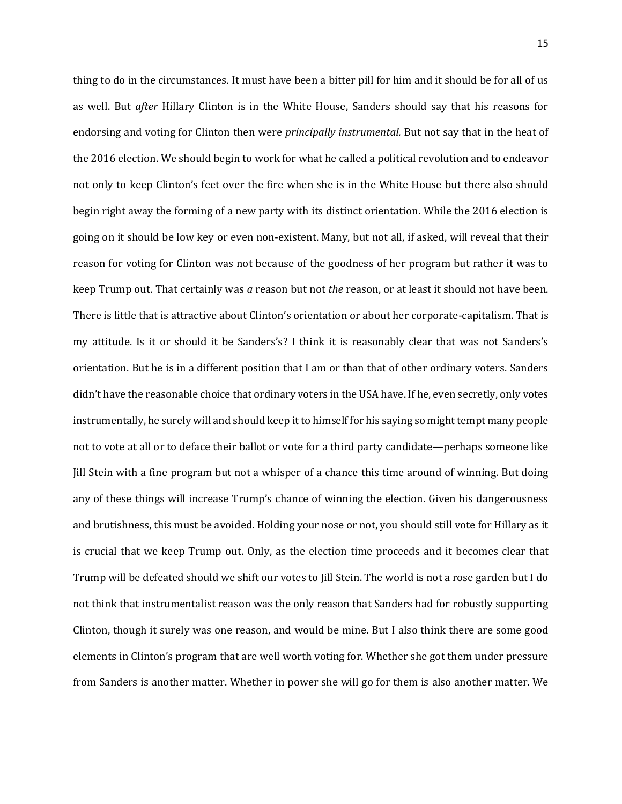thing to do in the circumstances. It must have been a bitter pill for him and it should be for all of us as well. But *after* Hillary Clinton is in the White House, Sanders should say that his reasons for endorsing and voting for Clinton then were *principally instrumental.* But not say that in the heat of the 2016 election. We should begin to work for what he called a political revolution and to endeavor not only to keep Clinton's feet over the fire when she is in the White House but there also should begin right away the forming of a new party with its distinct orientation. While the 2016 election is going on it should be low key or even non-existent. Many, but not all, if asked, will reveal that their reason for voting for Clinton was not because of the goodness of her program but rather it was to keep Trump out. That certainly was *a* reason but not *the* reason, or at least it should not have been. There is little that is attractive about Clinton's orientation or about her corporate-capitalism. That is my attitude. Is it or should it be Sanders's? I think it is reasonably clear that was not Sanders's orientation. But he is in a different position that I am or than that of other ordinary voters. Sanders didn't have the reasonable choice that ordinary voters in the USA have. If he, even secretly, only votes instrumentally, he surely will and should keep it to himself for his saying so might tempt many people not to vote at all or to deface their ballot or vote for a third party candidate—perhaps someone like Jill Stein with a fine program but not a whisper of a chance this time around of winning. But doing any of these things will increase Trump's chance of winning the election. Given his dangerousness and brutishness, this must be avoided. Holding your nose or not, you should still vote for Hillary as it is crucial that we keep Trump out. Only, as the election time proceeds and it becomes clear that Trump will be defeated should we shift our votes to Jill Stein. The world is not a rose garden but I do not think that instrumentalist reason was the only reason that Sanders had for robustly supporting Clinton, though it surely was one reason, and would be mine. But I also think there are some good elements in Clinton's program that are well worth voting for. Whether she got them under pressure from Sanders is another matter. Whether in power she will go for them is also another matter. We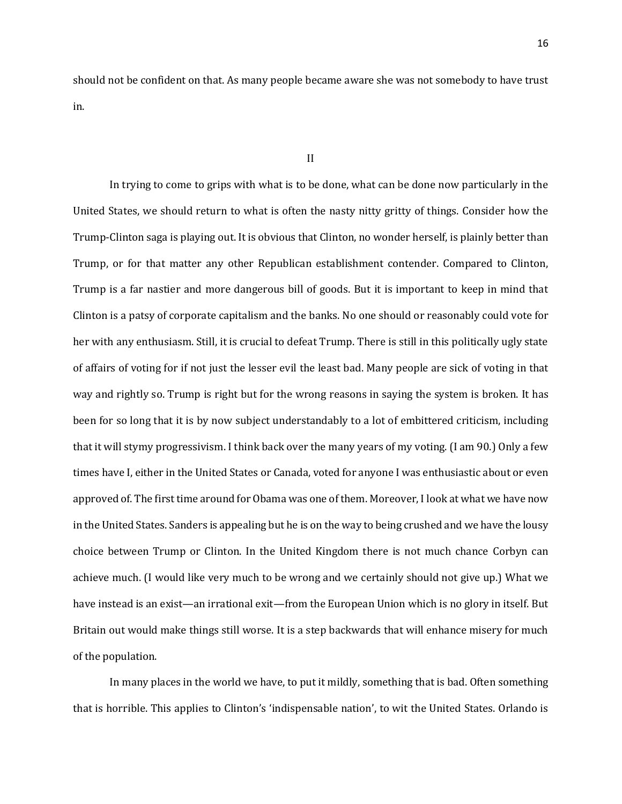should not be confident on that. As many people became aware she was not somebody to have trust in.

## II

In trying to come to grips with what is to be done, what can be done now particularly in the United States, we should return to what is often the nasty nitty gritty of things. Consider how the Trump-Clinton saga is playing out. It is obvious that Clinton, no wonder herself, is plainly better than Trump, or for that matter any other Republican establishment contender. Compared to Clinton, Trump is a far nastier and more dangerous bill of goods. But it is important to keep in mind that Clinton is a patsy of corporate capitalism and the banks. No one should or reasonably could vote for her with any enthusiasm. Still, it is crucial to defeat Trump. There is still in this politically ugly state of affairs of voting for if not just the lesser evil the least bad. Many people are sick of voting in that way and rightly so. Trump is right but for the wrong reasons in saying the system is broken. It has been for so long that it is by now subject understandably to a lot of embittered criticism, including that it will stymy progressivism. I think back over the many years of my voting. (I am 90.) Only a few times have I, either in the United States or Canada, voted for anyone I was enthusiastic about or even approved of. The first time around for Obama was one of them. Moreover, I look at what we have now in the United States. Sanders is appealing but he is on the way to being crushed and we have the lousy choice between Trump or Clinton. In the United Kingdom there is not much chance Corbyn can achieve much. (I would like very much to be wrong and we certainly should not give up.) What we have instead is an exist—an irrational exit—from the European Union which is no glory in itself. But Britain out would make things still worse. It is a step backwards that will enhance misery for much of the population.

In many places in the world we have, to put it mildly, something that is bad. Often something that is horrible. This applies to Clinton's 'indispensable nation', to wit the United States. Orlando is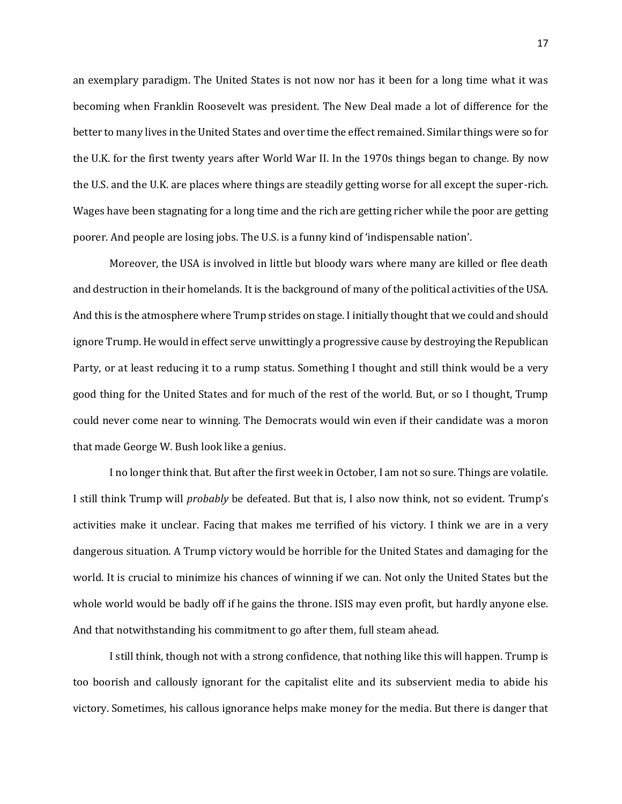an exemplary paradigm. The United States is not now nor has it been for a long time what it was becoming when Franklin Roosevelt was president. The New Deal made a lot of difference for the better to many lives in the United States and over time the effect remained. Similar things were so for the U.K. for the first twenty years after World War II. In the 1970s things began to change. By now the U.S. and the U.K. are places where things are steadily getting worse for all except the super-rich. Wages have been stagnating for a long time and the rich are getting richer while the poor are getting poorer. And people are losing jobs. The U.S. is a funny kind of 'indispensable nation'.

Moreover, the USA is involved in little but bloody wars where many are killed or flee death and destruction in their homelands. It is the background of many of the political activities of the USA. And this is the atmosphere where Trump strides on stage. I initially thought that we could and should ignore Trump. He would in effect serve unwittingly a progressive cause by destroying the Republican Party, or at least reducing it to a rump status. Something I thought and still think would be a very good thing for the United States and for much of the rest of the world. But, or so I thought, Trump could never come near to winning. The Democrats would win even if their candidate was a moron that made George W. Bush look like a genius.

I no longer think that. But after the first week in October, I am not so sure. Things are volatile. I still think Trump will *probably* be defeated. But that is, I also now think, not so evident. Trump's activities make it unclear. Facing that makes me terrified of his victory. I think we are in a very dangerous situation. A Trump victory would be horrible for the United States and damaging for the world. It is crucial to minimize his chances of winning if we can. Not only the United States but the whole world would be badly off if he gains the throne. ISIS may even profit, but hardly anyone else. And that notwithstanding his commitment to go after them, full steam ahead.

I still think, though not with a strong confidence, that nothing like this will happen. Trump is too boorish and callously ignorant for the capitalist elite and its subservient media to abide his victory. Sometimes, his callous ignorance helps make money for the media. But there is danger that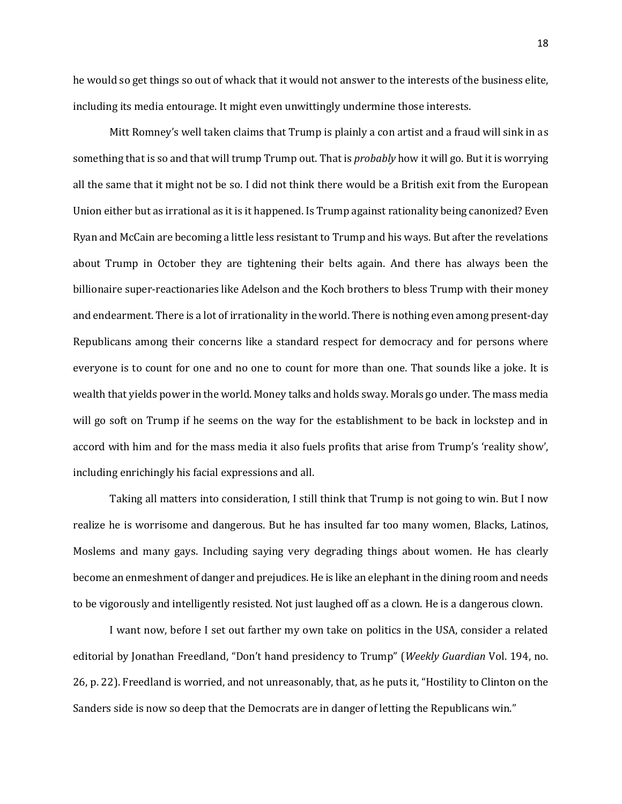he would so get things so out of whack that it would not answer to the interests of the business elite, including its media entourage. It might even unwittingly undermine those interests.

Mitt Romney's well taken claims that Trump is plainly a con artist and a fraud will sink in as something that is so and that will trump Trump out. That is *probably* how it will go. But it is worrying all the same that it might not be so. I did not think there would be a British exit from the European Union either but as irrational as it is it happened. Is Trump against rationality being canonized? Even Ryan and McCain are becoming a little less resistant to Trump and his ways. But after the revelations about Trump in October they are tightening their belts again. And there has always been the billionaire super-reactionaries like Adelson and the Koch brothers to bless Trump with their money and endearment. There is a lot of irrationality in the world. There is nothing even among present-day Republicans among their concerns like a standard respect for democracy and for persons where everyone is to count for one and no one to count for more than one. That sounds like a joke. It is wealth that yields power in the world. Money talks and holds sway. Morals go under. The mass media will go soft on Trump if he seems on the way for the establishment to be back in lockstep and in accord with him and for the mass media it also fuels profits that arise from Trump's 'reality show', including enrichingly his facial expressions and all.

Taking all matters into consideration, I still think that Trump is not going to win. But I now realize he is worrisome and dangerous. But he has insulted far too many women, Blacks, Latinos, Moslems and many gays. Including saying very degrading things about women. He has clearly become an enmeshment of danger and prejudices. He is like an elephant in the dining room and needs to be vigorously and intelligently resisted. Not just laughed off as a clown. He is a dangerous clown.

I want now, before I set out farther my own take on politics in the USA, consider a related editorial by Jonathan Freedland, "Don't hand presidency to Trump" (*Weekly Guardian* Vol. 194, no. 26, p. 22). Freedland is worried, and not unreasonably, that, as he puts it, "Hostility to Clinton on the Sanders side is now so deep that the Democrats are in danger of letting the Republicans win."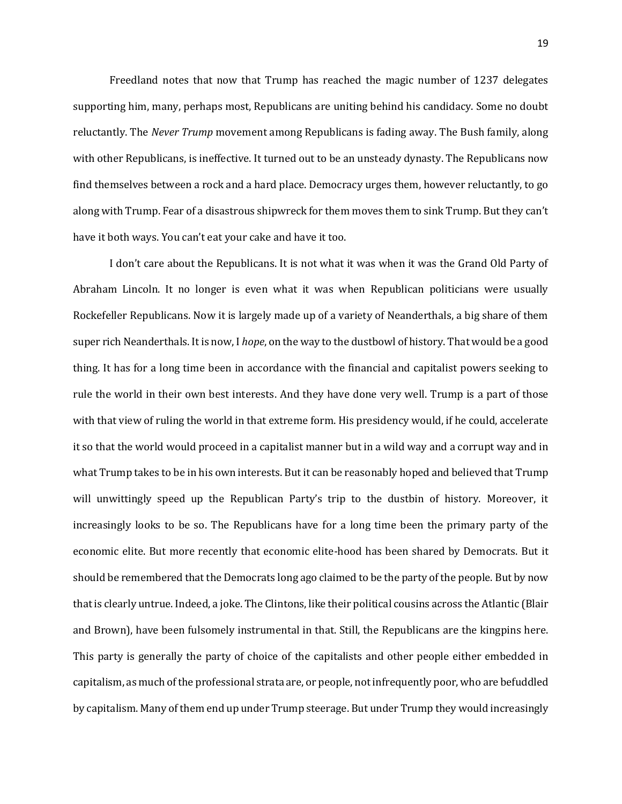Freedland notes that now that Trump has reached the magic number of 1237 delegates supporting him, many, perhaps most, Republicans are uniting behind his candidacy. Some no doubt reluctantly. The *Never Trump* movement among Republicans is fading away. The Bush family, along with other Republicans, is ineffective. It turned out to be an unsteady dynasty. The Republicans now find themselves between a rock and a hard place. Democracy urges them, however reluctantly, to go along with Trump. Fear of a disastrous shipwreck for them moves them to sink Trump. But they can't have it both ways. You can't eat your cake and have it too.

I don't care about the Republicans. It is not what it was when it was the Grand Old Party of Abraham Lincoln. It no longer is even what it was when Republican politicians were usually Rockefeller Republicans. Now it is largely made up of a variety of Neanderthals, a big share of them super rich Neanderthals. It is now, I *hope*, on the way to the dustbowl of history. That would be a good thing. It has for a long time been in accordance with the financial and capitalist powers seeking to rule the world in their own best interests. And they have done very well. Trump is a part of those with that view of ruling the world in that extreme form. His presidency would, if he could, accelerate it so that the world would proceed in a capitalist manner but in a wild way and a corrupt way and in what Trump takes to be in his own interests. But it can be reasonably hoped and believed that Trump will unwittingly speed up the Republican Party's trip to the dustbin of history. Moreover, it increasingly looks to be so. The Republicans have for a long time been the primary party of the economic elite. But more recently that economic elite-hood has been shared by Democrats. But it should be remembered that the Democrats long ago claimed to be the party of the people. But by now that is clearly untrue. Indeed, a joke. The Clintons, like their political cousins across the Atlantic (Blair and Brown), have been fulsomely instrumental in that. Still, the Republicans are the kingpins here. This party is generally the party of choice of the capitalists and other people either embedded in capitalism, as much of the professional strata are, or people, not infrequently poor, who are befuddled by capitalism. Many of them end up under Trump steerage. But under Trump they would increasingly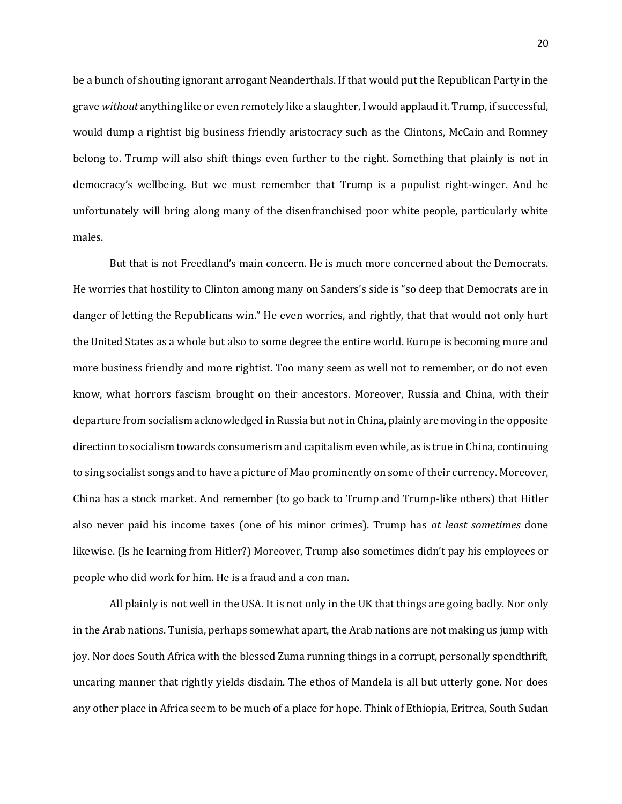be a bunch of shouting ignorant arrogant Neanderthals. If that would put the Republican Party in the grave *without* anything like or even remotely like a slaughter, I would applaud it. Trump, if successful, would dump a rightist big business friendly aristocracy such as the Clintons, McCain and Romney belong to. Trump will also shift things even further to the right. Something that plainly is not in democracy's wellbeing. But we must remember that Trump is a populist right-winger. And he unfortunately will bring along many of the disenfranchised poor white people, particularly white males.

But that is not Freedland's main concern. He is much more concerned about the Democrats. He worries that hostility to Clinton among many on Sanders's side is "so deep that Democrats are in danger of letting the Republicans win." He even worries, and rightly, that that would not only hurt the United States as a whole but also to some degree the entire world. Europe is becoming more and more business friendly and more rightist. Too many seem as well not to remember, or do not even know, what horrors fascism brought on their ancestors. Moreover, Russia and China, with their departure from socialism acknowledged in Russia but not in China, plainly are moving in the opposite direction to socialism towards consumerism and capitalism even while, as is true in China, continuing to sing socialist songs and to have a picture of Mao prominently on some of their currency. Moreover, China has a stock market. And remember (to go back to Trump and Trump-like others) that Hitler also never paid his income taxes (one of his minor crimes). Trump has *at least sometimes* done likewise. (Is he learning from Hitler?) Moreover, Trump also sometimes didn't pay his employees or people who did work for him. He is a fraud and a con man.

All plainly is not well in the USA. It is not only in the UK that things are going badly. Nor only in the Arab nations. Tunisia, perhaps somewhat apart, the Arab nations are not making us jump with joy. Nor does South Africa with the blessed Zuma running things in a corrupt, personally spendthrift, uncaring manner that rightly yields disdain. The ethos of Mandela is all but utterly gone. Nor does any other place in Africa seem to be much of a place for hope. Think of Ethiopia, Eritrea, South Sudan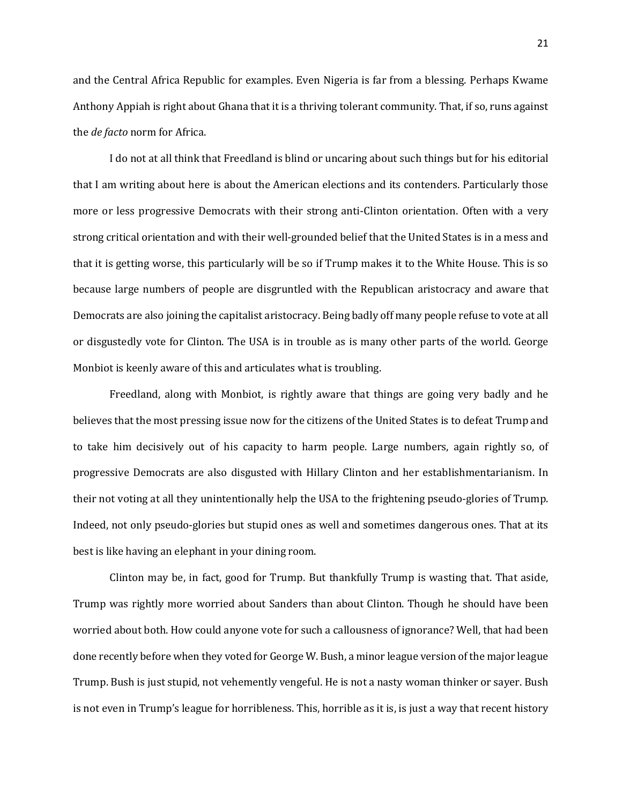and the Central Africa Republic for examples. Even Nigeria is far from a blessing. Perhaps Kwame Anthony Appiah is right about Ghana that it is a thriving tolerant community. That, if so, runs against the *de facto* norm for Africa.

I do not at all think that Freedland is blind or uncaring about such things but for his editorial that I am writing about here is about the American elections and its contenders. Particularly those more or less progressive Democrats with their strong anti-Clinton orientation. Often with a very strong critical orientation and with their well-grounded belief that the United States is in a mess and that it is getting worse, this particularly will be so if Trump makes it to the White House. This is so because large numbers of people are disgruntled with the Republican aristocracy and aware that Democrats are also joining the capitalist aristocracy. Being badly off many people refuse to vote at all or disgustedly vote for Clinton. The USA is in trouble as is many other parts of the world. George Monbiot is keenly aware of this and articulates what is troubling.

Freedland, along with Monbiot, is rightly aware that things are going very badly and he believes that the most pressing issue now for the citizens of the United States is to defeat Trump and to take him decisively out of his capacity to harm people. Large numbers, again rightly so, of progressive Democrats are also disgusted with Hillary Clinton and her establishmentarianism. In their not voting at all they unintentionally help the USA to the frightening pseudo-glories of Trump. Indeed, not only pseudo-glories but stupid ones as well and sometimes dangerous ones. That at its best is like having an elephant in your dining room.

Clinton may be, in fact, good for Trump. But thankfully Trump is wasting that. That aside, Trump was rightly more worried about Sanders than about Clinton. Though he should have been worried about both. How could anyone vote for such a callousness of ignorance? Well, that had been done recently before when they voted for George W. Bush, a minor league version of the major league Trump. Bush is just stupid, not vehemently vengeful. He is not a nasty woman thinker or sayer. Bush is not even in Trump's league for horribleness. This, horrible as it is, is just a way that recent history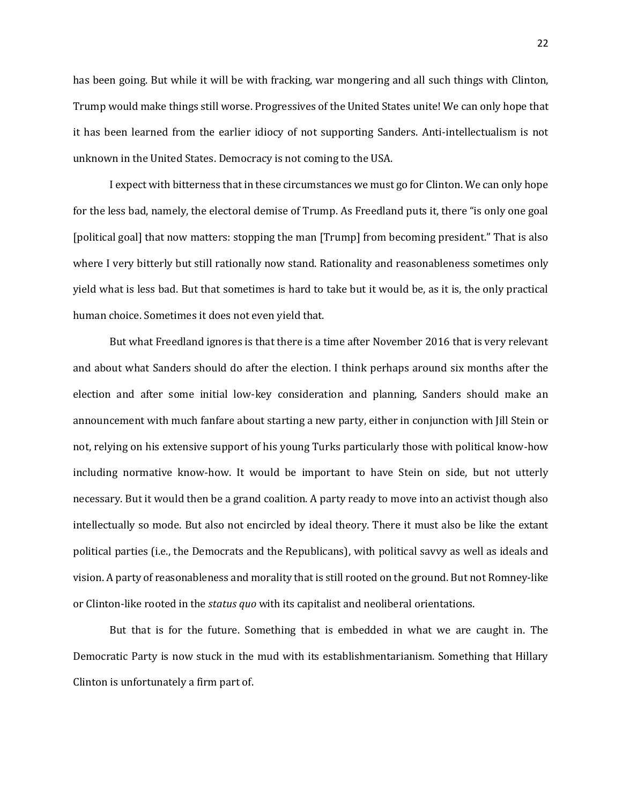has been going. But while it will be with fracking, war mongering and all such things with Clinton, Trump would make things still worse. Progressives of the United States unite! We can only hope that it has been learned from the earlier idiocy of not supporting Sanders. Anti-intellectualism is not unknown in the United States. Democracy is not coming to the USA.

I expect with bitterness that in these circumstances we must go for Clinton. We can only hope for the less bad, namely, the electoral demise of Trump. As Freedland puts it, there "is only one goal [political goal] that now matters: stopping the man [Trump] from becoming president." That is also where I very bitterly but still rationally now stand. Rationality and reasonableness sometimes only yield what is less bad. But that sometimes is hard to take but it would be, as it is, the only practical human choice. Sometimes it does not even yield that.

But what Freedland ignores is that there is a time after November 2016 that is very relevant and about what Sanders should do after the election. I think perhaps around six months after the election and after some initial low-key consideration and planning, Sanders should make an announcement with much fanfare about starting a new party, either in conjunction with Jill Stein or not, relying on his extensive support of his young Turks particularly those with political know-how including normative know-how. It would be important to have Stein on side, but not utterly necessary. But it would then be a grand coalition. A party ready to move into an activist though also intellectually so mode. But also not encircled by ideal theory. There it must also be like the extant political parties (i.e., the Democrats and the Republicans), with political savvy as well as ideals and vision. A party of reasonableness and morality that is still rooted on the ground. But not Romney-like or Clinton-like rooted in the *status quo* with its capitalist and neoliberal orientations.

But that is for the future. Something that is embedded in what we are caught in. The Democratic Party is now stuck in the mud with its establishmentarianism. Something that Hillary Clinton is unfortunately a firm part of.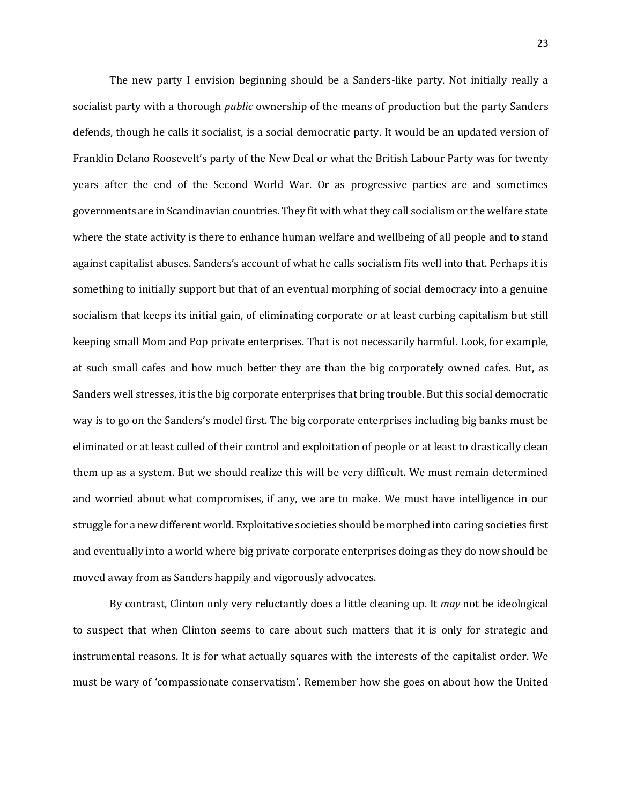The new party I envision beginning should be a Sanders-like party. Not initially really a socialist party with a thorough *public* ownership of the means of production but the party Sanders defends, though he calls it socialist, is a social democratic party. It would be an updated version of Franklin Delano Roosevelt's party of the New Deal or what the British Labour Party was for twenty years after the end of the Second World War. Or as progressive parties are and sometimes governments are in Scandinavian countries. They fit with what they call socialism or the welfare state where the state activity is there to enhance human welfare and wellbeing of all people and to stand against capitalist abuses. Sanders's account of what he calls socialism fits well into that. Perhaps it is something to initially support but that of an eventual morphing of social democracy into a genuine socialism that keeps its initial gain, of eliminating corporate or at least curbing capitalism but still keeping small Mom and Pop private enterprises. That is not necessarily harmful. Look, for example, at such small cafes and how much better they are than the big corporately owned cafes. But, as Sanders well stresses, it is the big corporate enterprises that bring trouble. But this social democratic way is to go on the Sanders's model first. The big corporate enterprises including big banks must be eliminated or at least culled of their control and exploitation of people or at least to drastically clean them up as a system. But we should realize this will be very difficult. We must remain determined and worried about what compromises, if any, we are to make. We must have intelligence in our struggle for a new different world. Exploitative societies should be morphed into caring societies first and eventually into a world where big private corporate enterprises doing as they do now should be moved away from as Sanders happily and vigorously advocates.

By contrast, Clinton only very reluctantly does a little cleaning up. It *may* not be ideological to suspect that when Clinton seems to care about such matters that it is only for strategic and instrumental reasons. It is for what actually squares with the interests of the capitalist order. We must be wary of 'compassionate conservatism'. Remember how she goes on about how the United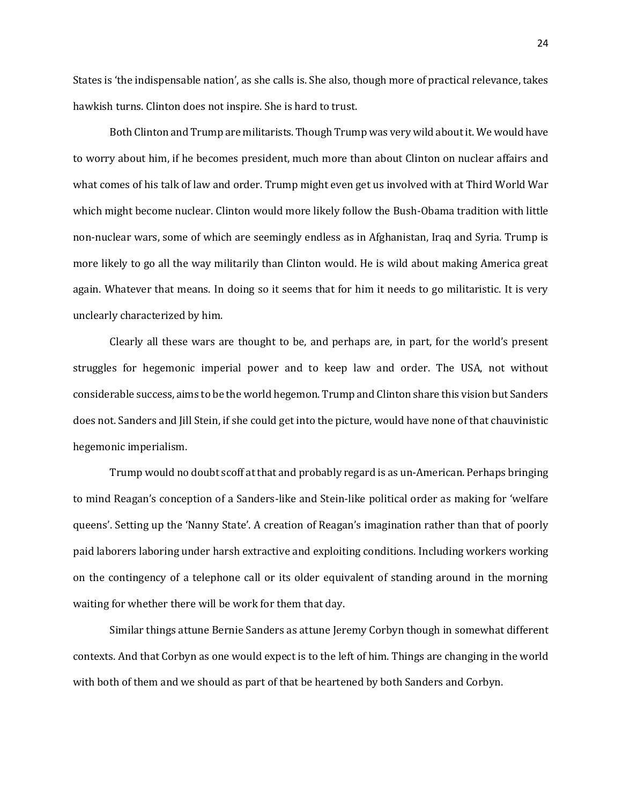States is 'the indispensable nation', as she calls is. She also, though more of practical relevance, takes hawkish turns. Clinton does not inspire. She is hard to trust.

Both Clinton and Trump are militarists. Though Trump was very wild about it. We would have to worry about him, if he becomes president, much more than about Clinton on nuclear affairs and what comes of his talk of law and order. Trump might even get us involved with at Third World War which might become nuclear. Clinton would more likely follow the Bush-Obama tradition with little non-nuclear wars, some of which are seemingly endless as in Afghanistan, Iraq and Syria. Trump is more likely to go all the way militarily than Clinton would. He is wild about making America great again. Whatever that means. In doing so it seems that for him it needs to go militaristic. It is very unclearly characterized by him.

Clearly all these wars are thought to be, and perhaps are, in part, for the world's present struggles for hegemonic imperial power and to keep law and order. The USA, not without considerable success, aims to be the world hegemon. Trump and Clinton share this vision but Sanders does not. Sanders and Jill Stein, if she could get into the picture, would have none of that chauvinistic hegemonic imperialism.

Trump would no doubt scoff at that and probably regard is as un-American. Perhaps bringing to mind Reagan's conception of a Sanders-like and Stein-like political order as making for 'welfare queens'. Setting up the 'Nanny State'. A creation of Reagan's imagination rather than that of poorly paid laborers laboring under harsh extractive and exploiting conditions. Including workers working on the contingency of a telephone call or its older equivalent of standing around in the morning waiting for whether there will be work for them that day.

Similar things attune Bernie Sanders as attune Jeremy Corbyn though in somewhat different contexts. And that Corbyn as one would expect is to the left of him. Things are changing in the world with both of them and we should as part of that be heartened by both Sanders and Corbyn.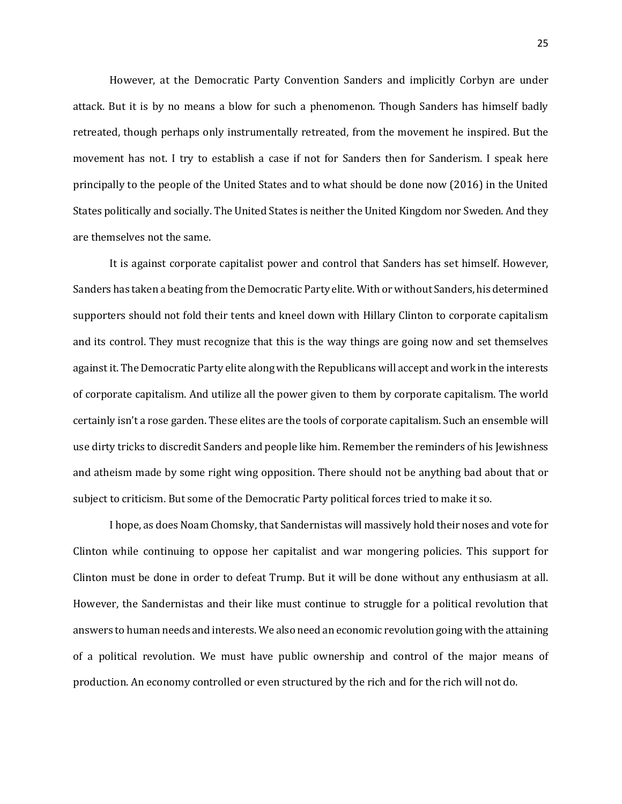However, at the Democratic Party Convention Sanders and implicitly Corbyn are under attack. But it is by no means a blow for such a phenomenon. Though Sanders has himself badly retreated, though perhaps only instrumentally retreated, from the movement he inspired. But the movement has not. I try to establish a case if not for Sanders then for Sanderism. I speak here principally to the people of the United States and to what should be done now (2016) in the United States politically and socially. The United States is neither the United Kingdom nor Sweden. And they are themselves not the same.

It is against corporate capitalist power and control that Sanders has set himself. However, Sanders has taken a beating from the Democratic Party elite. With or without Sanders, his determined supporters should not fold their tents and kneel down with Hillary Clinton to corporate capitalism and its control. They must recognize that this is the way things are going now and set themselves against it. The Democratic Party elite along with the Republicans will accept and work in the interests of corporate capitalism. And utilize all the power given to them by corporate capitalism. The world certainly isn't a rose garden. These elites are the tools of corporate capitalism. Such an ensemble will use dirty tricks to discredit Sanders and people like him. Remember the reminders of his Jewishness and atheism made by some right wing opposition. There should not be anything bad about that or subject to criticism. But some of the Democratic Party political forces tried to make it so.

I hope, as does Noam Chomsky, that Sandernistas will massively hold their noses and vote for Clinton while continuing to oppose her capitalist and war mongering policies. This support for Clinton must be done in order to defeat Trump. But it will be done without any enthusiasm at all. However, the Sandernistas and their like must continue to struggle for a political revolution that answers to human needs and interests. We also need an economic revolution going with the attaining of a political revolution. We must have public ownership and control of the major means of production. An economy controlled or even structured by the rich and for the rich will not do.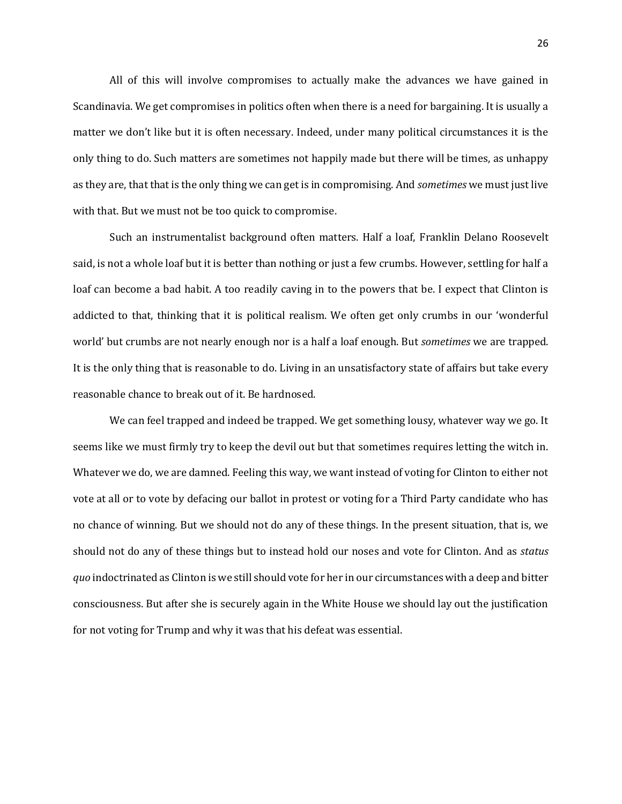All of this will involve compromises to actually make the advances we have gained in Scandinavia. We get compromises in politics often when there is a need for bargaining. It is usually a matter we don't like but it is often necessary. Indeed, under many political circumstances it is the only thing to do. Such matters are sometimes not happily made but there will be times, as unhappy as they are, that that is the only thing we can get is in compromising. And *sometimes* we must just live with that. But we must not be too quick to compromise.

Such an instrumentalist background often matters. Half a loaf, Franklin Delano Roosevelt said, is not a whole loaf but it is better than nothing or just a few crumbs. However, settling for half a loaf can become a bad habit. A too readily caving in to the powers that be. I expect that Clinton is addicted to that, thinking that it is political realism. We often get only crumbs in our 'wonderful world' but crumbs are not nearly enough nor is a half a loaf enough. But *sometimes* we are trapped. It is the only thing that is reasonable to do. Living in an unsatisfactory state of affairs but take every reasonable chance to break out of it. Be hardnosed.

We can feel trapped and indeed be trapped. We get something lousy, whatever way we go. It seems like we must firmly try to keep the devil out but that sometimes requires letting the witch in. Whatever we do, we are damned. Feeling this way, we want instead of voting for Clinton to either not vote at all or to vote by defacing our ballot in protest or voting for a Third Party candidate who has no chance of winning. But we should not do any of these things. In the present situation, that is, we should not do any of these things but to instead hold our noses and vote for Clinton. And as *status quo* indoctrinated as Clinton is we still should vote for her in our circumstances with a deep and bitter consciousness. But after she is securely again in the White House we should lay out the justification for not voting for Trump and why it was that his defeat was essential.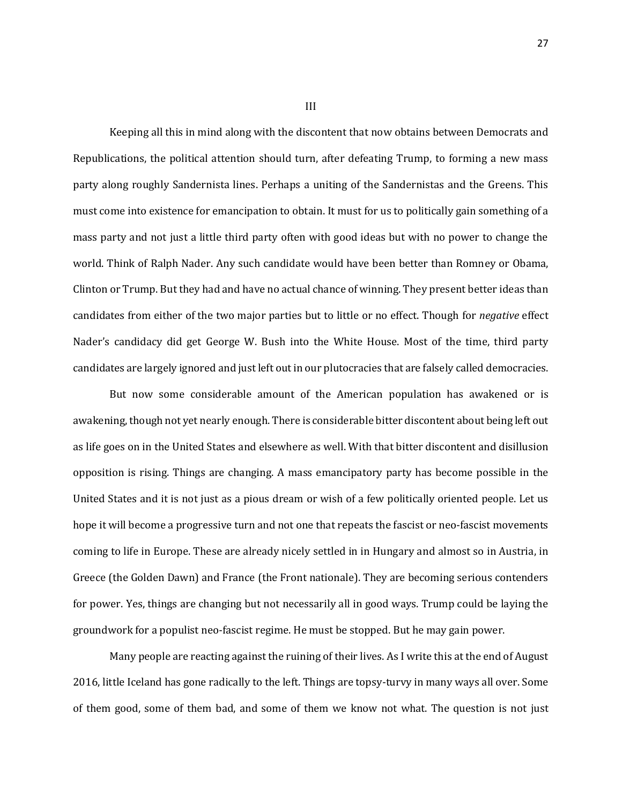Keeping all this in mind along with the discontent that now obtains between Democrats and Republications, the political attention should turn, after defeating Trump, to forming a new mass party along roughly Sandernista lines. Perhaps a uniting of the Sandernistas and the Greens. This must come into existence for emancipation to obtain. It must for us to politically gain something of a mass party and not just a little third party often with good ideas but with no power to change the world. Think of Ralph Nader. Any such candidate would have been better than Romney or Obama, Clinton or Trump. But they had and have no actual chance of winning. They present better ideas than candidates from either of the two major parties but to little or no effect. Though for *negative* effect Nader's candidacy did get George W. Bush into the White House. Most of the time, third party candidates are largely ignored and just left out in our plutocracies that are falsely called democracies.

But now some considerable amount of the American population has awakened or is awakening, though not yet nearly enough. There is considerable bitter discontent about being left out as life goes on in the United States and elsewhere as well. With that bitter discontent and disillusion opposition is rising. Things are changing. A mass emancipatory party has become possible in the United States and it is not just as a pious dream or wish of a few politically oriented people. Let us hope it will become a progressive turn and not one that repeats the fascist or neo-fascist movements coming to life in Europe. These are already nicely settled in in Hungary and almost so in Austria, in Greece (the Golden Dawn) and France (the Front nationale). They are becoming serious contenders for power. Yes, things are changing but not necessarily all in good ways. Trump could be laying the groundwork for a populist neo-fascist regime. He must be stopped. But he may gain power.

Many people are reacting against the ruining of their lives. As I write this at the end of August 2016, little Iceland has gone radically to the left. Things are topsy-turvy in many ways all over. Some of them good, some of them bad, and some of them we know not what. The question is not just

III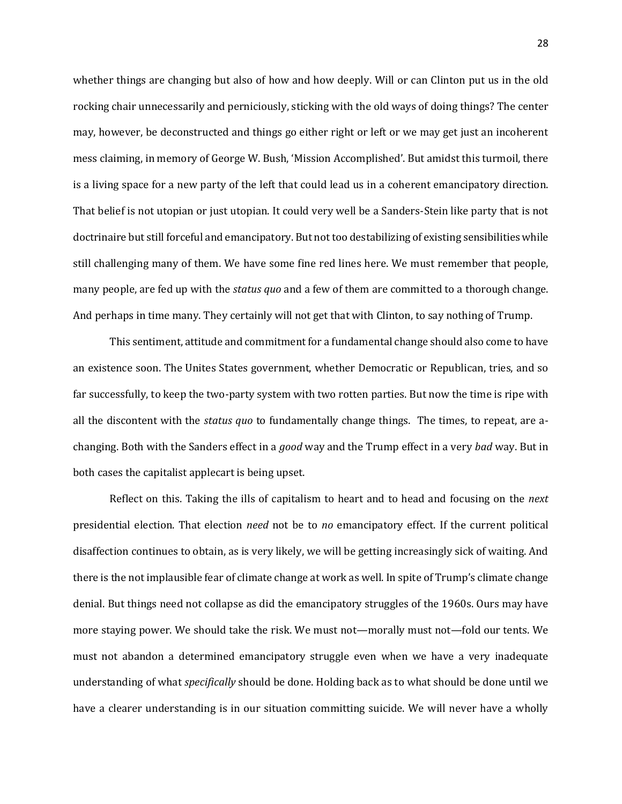whether things are changing but also of how and how deeply. Will or can Clinton put us in the old rocking chair unnecessarily and perniciously, sticking with the old ways of doing things? The center may, however, be deconstructed and things go either right or left or we may get just an incoherent mess claiming, in memory of George W. Bush, 'Mission Accomplished'. But amidst this turmoil, there is a living space for a new party of the left that could lead us in a coherent emancipatory direction. That belief is not utopian or just utopian. It could very well be a Sanders-Stein like party that is not doctrinaire but still forceful and emancipatory. But not too destabilizing of existing sensibilities while still challenging many of them. We have some fine red lines here. We must remember that people, many people, are fed up with the *status quo* and a few of them are committed to a thorough change. And perhaps in time many. They certainly will not get that with Clinton, to say nothing of Trump.

This sentiment, attitude and commitment for a fundamental change should also come to have an existence soon. The Unites States government, whether Democratic or Republican, tries, and so far successfully, to keep the two-party system with two rotten parties. But now the time is ripe with all the discontent with the *status quo* to fundamentally change things. The times, to repeat, are achanging. Both with the Sanders effect in a *good* way and the Trump effect in a very *bad* way. But in both cases the capitalist applecart is being upset.

Reflect on this. Taking the ills of capitalism to heart and to head and focusing on the *next*  presidential election. That election *need* not be to *no* emancipatory effect. If the current political disaffection continues to obtain, as is very likely, we will be getting increasingly sick of waiting. And there is the not implausible fear of climate change at work as well. In spite of Trump's climate change denial. But things need not collapse as did the emancipatory struggles of the 1960s. Ours may have more staying power. We should take the risk. We must not—morally must not—fold our tents. We must not abandon a determined emancipatory struggle even when we have a very inadequate understanding of what *specifically* should be done. Holding back as to what should be done until we have a clearer understanding is in our situation committing suicide. We will never have a wholly